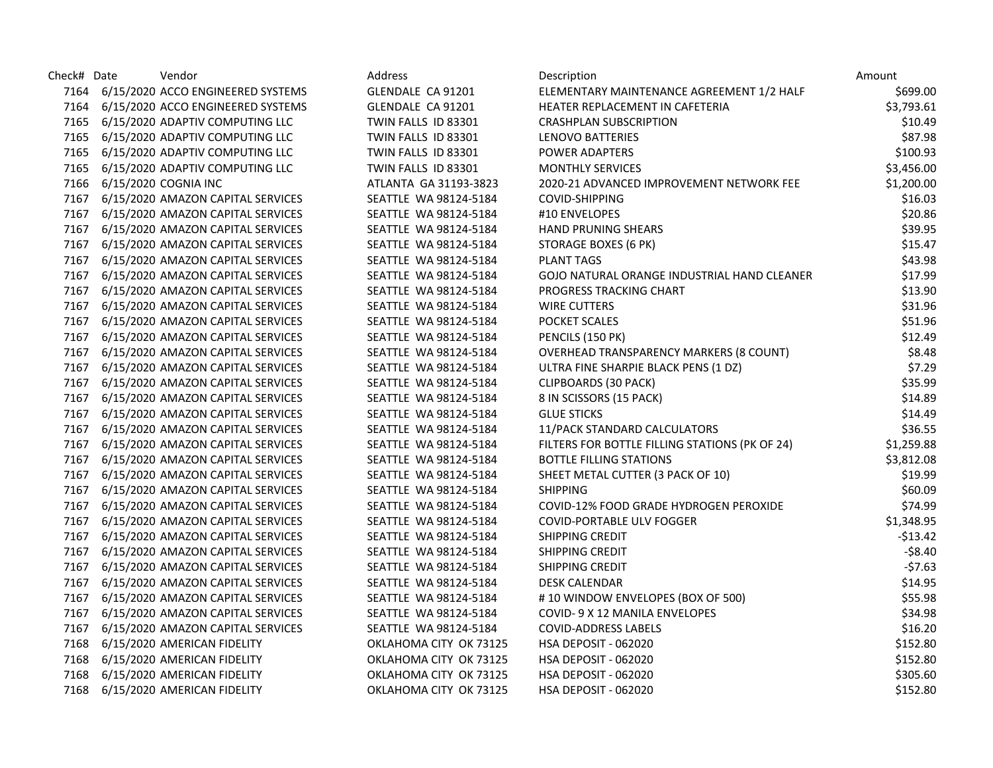| Check# Date | Vendor                                 | <b>Address</b>         | Description                                    | Amount     |
|-------------|----------------------------------------|------------------------|------------------------------------------------|------------|
|             | 7164 6/15/2020 ACCO ENGINEERED SYSTEMS | GLENDALE CA 91201      | ELEMENTARY MAINTENANCE AGREEMENT 1/2 HALF      | \$699.00   |
|             | 7164 6/15/2020 ACCO ENGINEERED SYSTEMS | GLENDALE CA 91201      | HEATER REPLACEMENT IN CAFETERIA                | \$3,793.61 |
|             | 7165 6/15/2020 ADAPTIV COMPUTING LLC   | TWIN FALLS ID 83301    | <b>CRASHPLAN SUBSCRIPTION</b>                  | \$10.49    |
|             | 7165 6/15/2020 ADAPTIV COMPUTING LLC   | TWIN FALLS ID 83301    | LENOVO BATTERIES                               | \$87.98    |
|             | 7165 6/15/2020 ADAPTIV COMPUTING LLC   | TWIN FALLS ID 83301    | POWER ADAPTERS                                 | \$100.93   |
|             | 7165 6/15/2020 ADAPTIV COMPUTING LLC   | TWIN FALLS ID 83301    | <b>MONTHLY SERVICES</b>                        | \$3,456.00 |
|             | 7166 6/15/2020 COGNIA INC              | ATLANTA GA 31193-3823  | 2020-21 ADVANCED IMPROVEMENT NETWORK FEE       | \$1,200.00 |
|             | 7167 6/15/2020 AMAZON CAPITAL SERVICES | SEATTLE WA 98124-5184  | COVID-SHIPPING                                 | \$16.03    |
|             | 7167 6/15/2020 AMAZON CAPITAL SERVICES | SEATTLE WA 98124-5184  | #10 ENVELOPES                                  | \$20.86    |
|             | 7167 6/15/2020 AMAZON CAPITAL SERVICES | SEATTLE WA 98124-5184  | <b>HAND PRUNING SHEARS</b>                     | \$39.95    |
|             | 7167 6/15/2020 AMAZON CAPITAL SERVICES | SEATTLE WA 98124-5184  | STORAGE BOXES (6 PK)                           | \$15.47    |
|             | 7167 6/15/2020 AMAZON CAPITAL SERVICES | SEATTLE WA 98124-5184  | <b>PLANT TAGS</b>                              | \$43.98    |
|             | 7167 6/15/2020 AMAZON CAPITAL SERVICES | SEATTLE WA 98124-5184  | GOJO NATURAL ORANGE INDUSTRIAL HAND CLEANER    | \$17.99    |
|             | 7167 6/15/2020 AMAZON CAPITAL SERVICES | SEATTLE WA 98124-5184  | PROGRESS TRACKING CHART                        | \$13.90    |
|             | 7167 6/15/2020 AMAZON CAPITAL SERVICES | SEATTLE WA 98124-5184  | <b>WIRE CUTTERS</b>                            | \$31.96    |
|             | 7167 6/15/2020 AMAZON CAPITAL SERVICES | SEATTLE WA 98124-5184  | POCKET SCALES                                  | \$51.96    |
|             | 7167 6/15/2020 AMAZON CAPITAL SERVICES | SEATTLE WA 98124-5184  | PENCILS (150 PK)                               | \$12.49    |
|             | 7167 6/15/2020 AMAZON CAPITAL SERVICES | SEATTLE WA 98124-5184  | <b>OVERHEAD TRANSPARENCY MARKERS (8 COUNT)</b> | \$8.48     |
|             | 7167 6/15/2020 AMAZON CAPITAL SERVICES | SEATTLE WA 98124-5184  | ULTRA FINE SHARPIE BLACK PENS (1 DZ)           | \$7.29     |
|             | 7167 6/15/2020 AMAZON CAPITAL SERVICES | SEATTLE WA 98124-5184  | CLIPBOARDS (30 PACK)                           | \$35.99    |
|             | 7167 6/15/2020 AMAZON CAPITAL SERVICES | SEATTLE WA 98124-5184  | 8 IN SCISSORS (15 PACK)                        | \$14.89    |
|             | 7167 6/15/2020 AMAZON CAPITAL SERVICES | SEATTLE WA 98124-5184  | <b>GLUE STICKS</b>                             | \$14.49    |
|             | 7167 6/15/2020 AMAZON CAPITAL SERVICES | SEATTLE WA 98124-5184  | 11/PACK STANDARD CALCULATORS                   | \$36.55    |
|             | 7167 6/15/2020 AMAZON CAPITAL SERVICES | SEATTLE WA 98124-5184  | FILTERS FOR BOTTLE FILLING STATIONS (PK OF 24) | \$1,259.88 |
|             | 7167 6/15/2020 AMAZON CAPITAL SERVICES | SEATTLE WA 98124-5184  | <b>BOTTLE FILLING STATIONS</b>                 | \$3,812.08 |
|             | 7167 6/15/2020 AMAZON CAPITAL SERVICES | SEATTLE WA 98124-5184  | SHEET METAL CUTTER (3 PACK OF 10)              | \$19.99    |
|             | 7167 6/15/2020 AMAZON CAPITAL SERVICES | SEATTLE WA 98124-5184  | <b>SHIPPING</b>                                | \$60.09    |
|             | 7167 6/15/2020 AMAZON CAPITAL SERVICES | SEATTLE WA 98124-5184  | COVID-12% FOOD GRADE HYDROGEN PEROXIDE         | \$74.99    |
|             | 7167 6/15/2020 AMAZON CAPITAL SERVICES | SEATTLE WA 98124-5184  | COVID-PORTABLE ULV FOGGER                      | \$1,348.95 |
|             | 7167 6/15/2020 AMAZON CAPITAL SERVICES | SEATTLE WA 98124-5184  | SHIPPING CREDIT                                | $-513.42$  |
|             | 7167 6/15/2020 AMAZON CAPITAL SERVICES | SEATTLE WA 98124-5184  | SHIPPING CREDIT                                | $-58.40$   |
|             | 7167 6/15/2020 AMAZON CAPITAL SERVICES | SEATTLE WA 98124-5184  | SHIPPING CREDIT                                | $-57.63$   |
|             | 7167 6/15/2020 AMAZON CAPITAL SERVICES | SEATTLE WA 98124-5184  | DESK CALENDAR                                  | \$14.95    |
|             | 7167 6/15/2020 AMAZON CAPITAL SERVICES | SEATTLE WA 98124-5184  | #10 WINDOW ENVELOPES (BOX OF 500)              | \$55.98    |
|             | 7167 6/15/2020 AMAZON CAPITAL SERVICES | SEATTLE WA 98124-5184  | COVID- 9 X 12 MANILA ENVELOPES                 | \$34.98    |
|             | 7167 6/15/2020 AMAZON CAPITAL SERVICES | SEATTLE WA 98124-5184  | <b>COVID-ADDRESS LABELS</b>                    | \$16.20    |
| 7168        | 6/15/2020 AMERICAN FIDELITY            | OKLAHOMA CITY OK 73125 | <b>HSA DEPOSIT - 062020</b>                    | \$152.80   |
| 7168        | 6/15/2020 AMERICAN FIDELITY            | OKLAHOMA CITY OK 73125 | HSA DEPOSIT - 062020                           | \$152.80   |
| 7168        | 6/15/2020 AMERICAN FIDELITY            | OKLAHOMA CITY OK 73125 | <b>HSA DEPOSIT - 062020</b>                    | \$305.60   |
|             | 7168 6/15/2020 AMERICAN FIDELITY       | OKLAHOMA CITY OK 73125 | <b>HSA DEPOSIT - 062020</b>                    | \$152.80   |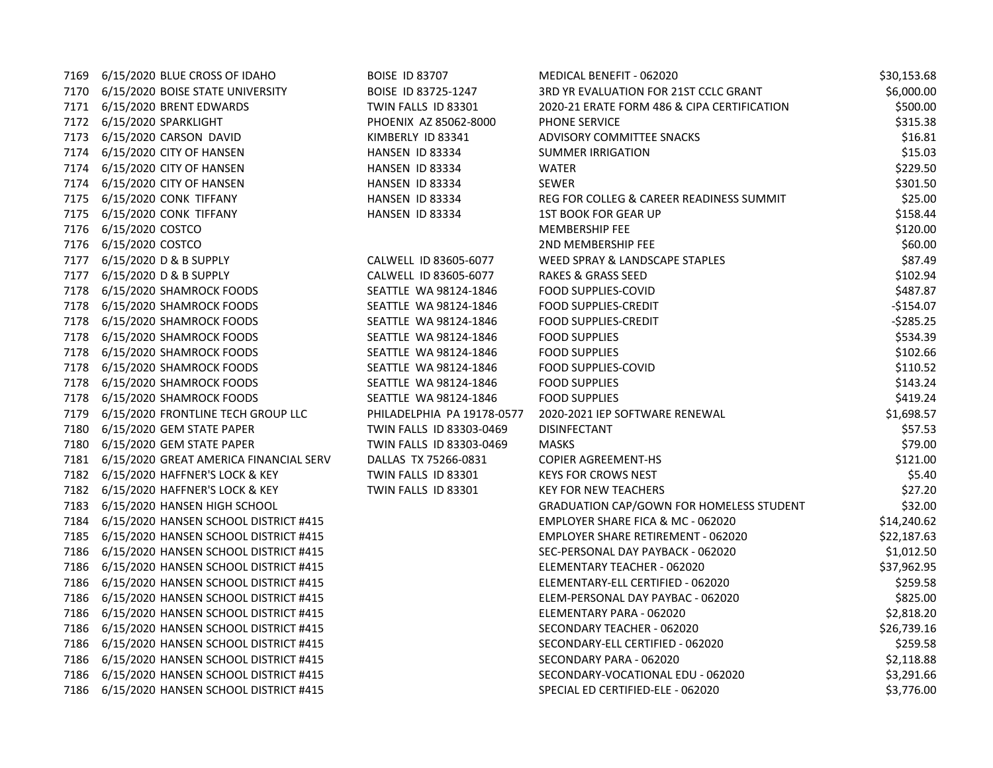|      | 7169 6/15/2020 BLUE CROSS OF IDAHO         | <b>BOISE ID 83707</b>      | MEDICAL BENEFIT - 062020                        | \$30,153.68 |
|------|--------------------------------------------|----------------------------|-------------------------------------------------|-------------|
|      | 7170 6/15/2020 BOISE STATE UNIVERSITY      | BOISE ID 83725-1247        | 3RD YR EVALUATION FOR 21ST CCLC GRANT           | \$6,000.00  |
|      | 7171 6/15/2020 BRENT EDWARDS               | TWIN FALLS ID 83301        | 2020-21 ERATE FORM 486 & CIPA CERTIFICATION     | \$500.00    |
|      | 7172 6/15/2020 SPARKLIGHT                  | PHOENIX AZ 85062-8000      | PHONE SERVICE                                   | \$315.38    |
|      | 7173 6/15/2020 CARSON DAVID                | KIMBERLY ID 83341          | ADVISORY COMMITTEE SNACKS                       | \$16.81     |
|      | 7174 6/15/2020 CITY OF HANSEN              | HANSEN ID 83334            | <b>SUMMER IRRIGATION</b>                        | \$15.03     |
|      | 7174 6/15/2020 CITY OF HANSEN              | HANSEN ID 83334            | <b>WATER</b>                                    | \$229.50    |
|      | 7174 6/15/2020 CITY OF HANSEN              | HANSEN ID 83334            | <b>SEWER</b>                                    | \$301.50    |
|      | 7175 6/15/2020 CONK TIFFANY                | HANSEN ID 83334            | REG FOR COLLEG & CAREER READINESS SUMMIT        | \$25.00     |
|      | 7175 6/15/2020 CONK TIFFANY                | HANSEN ID 83334            | <b>1ST BOOK FOR GEAR UP</b>                     | \$158.44    |
|      | 7176 6/15/2020 COSTCO                      |                            | MEMBERSHIP FEE                                  | \$120.00    |
|      | 7176 6/15/2020 COSTCO                      |                            | 2ND MEMBERSHIP FEE                              | \$60.00     |
| 7177 | 6/15/2020 D & B SUPPLY                     | CALWELL ID 83605-6077      | WEED SPRAY & LANDSCAPE STAPLES                  | \$87.49     |
| 7177 | 6/15/2020 D & B SUPPLY                     | CALWELL ID 83605-6077      | RAKES & GRASS SEED                              | \$102.94    |
|      | 7178 6/15/2020 SHAMROCK FOODS              | SEATTLE WA 98124-1846      | FOOD SUPPLIES-COVID                             | \$487.87    |
|      | 7178 6/15/2020 SHAMROCK FOODS              | SEATTLE WA 98124-1846      | FOOD SUPPLIES-CREDIT                            | $-$154.07$  |
|      | 7178 6/15/2020 SHAMROCK FOODS              | SEATTLE WA 98124-1846      | <b>FOOD SUPPLIES-CREDIT</b>                     | $-5285.25$  |
|      | 7178 6/15/2020 SHAMROCK FOODS              | SEATTLE WA 98124-1846      | <b>FOOD SUPPLIES</b>                            | \$534.39    |
|      | 7178 6/15/2020 SHAMROCK FOODS              | SEATTLE WA 98124-1846      | <b>FOOD SUPPLIES</b>                            | \$102.66    |
|      | 7178 6/15/2020 SHAMROCK FOODS              | SEATTLE WA 98124-1846      | <b>FOOD SUPPLIES-COVID</b>                      | \$110.52    |
|      | 7178 6/15/2020 SHAMROCK FOODS              | SEATTLE WA 98124-1846      | <b>FOOD SUPPLIES</b>                            | \$143.24    |
|      | 7178 6/15/2020 SHAMROCK FOODS              | SEATTLE WA 98124-1846      | <b>FOOD SUPPLIES</b>                            | \$419.24    |
|      | 7179 6/15/2020 FRONTLINE TECH GROUP LLC    | PHILADELPHIA PA 19178-0577 | 2020-2021 IEP SOFTWARE RENEWAL                  | \$1,698.57  |
|      | 7180 6/15/2020 GEM STATE PAPER             | TWIN FALLS ID 83303-0469   | <b>DISINFECTANT</b>                             | \$57.53     |
|      | 7180 6/15/2020 GEM STATE PAPER             | TWIN FALLS ID 83303-0469   | <b>MASKS</b>                                    | \$79.00     |
| 7181 | 6/15/2020 GREAT AMERICA FINANCIAL SERV     | DALLAS TX 75266-0831       | <b>COPIER AGREEMENT-HS</b>                      | \$121.00    |
|      | 7182 6/15/2020 HAFFNER'S LOCK & KEY        | TWIN FALLS ID 83301        | <b>KEYS FOR CROWS NEST</b>                      | \$5.40      |
|      | 7182 6/15/2020 HAFFNER'S LOCK & KEY        | TWIN FALLS ID 83301        | <b>KEY FOR NEW TEACHERS</b>                     | \$27.20     |
|      | 7183 6/15/2020 HANSEN HIGH SCHOOL          |                            | <b>GRADUATION CAP/GOWN FOR HOMELESS STUDENT</b> | \$32.00     |
|      | 7184 6/15/2020 HANSEN SCHOOL DISTRICT #415 |                            | EMPLOYER SHARE FICA & MC - 062020               | \$14,240.62 |
|      | 7185 6/15/2020 HANSEN SCHOOL DISTRICT #415 |                            | <b>EMPLOYER SHARE RETIREMENT - 062020</b>       | \$22,187.63 |
| 7186 | 6/15/2020 HANSEN SCHOOL DISTRICT #415      |                            | SEC-PERSONAL DAY PAYBACK - 062020               | \$1,012.50  |
| 7186 | 6/15/2020 HANSEN SCHOOL DISTRICT #415      |                            | ELEMENTARY TEACHER - 062020                     | \$37,962.95 |
| 7186 | 6/15/2020 HANSEN SCHOOL DISTRICT #415      |                            | ELEMENTARY-ELL CERTIFIED - 062020               | \$259.58    |
|      | 7186 6/15/2020 HANSEN SCHOOL DISTRICT #415 |                            | ELEM-PERSONAL DAY PAYBAC - 062020               | \$825.00    |
|      | 7186 6/15/2020 HANSEN SCHOOL DISTRICT #415 |                            | ELEMENTARY PARA - 062020                        | \$2,818.20  |
|      | 7186 6/15/2020 HANSEN SCHOOL DISTRICT #415 |                            | SECONDARY TEACHER - 062020                      | \$26,739.16 |
| 7186 | 6/15/2020 HANSEN SCHOOL DISTRICT #415      |                            | SECONDARY-ELL CERTIFIED - 062020                | \$259.58    |
| 7186 | 6/15/2020 HANSEN SCHOOL DISTRICT #415      |                            | SECONDARY PARA - 062020                         | \$2,118.88  |
| 7186 | 6/15/2020 HANSEN SCHOOL DISTRICT #415      |                            | SECONDARY-VOCATIONAL EDU - 062020               | \$3,291.66  |
| 7186 | 6/15/2020 HANSEN SCHOOL DISTRICT #415      |                            | SPECIAL ED CERTIFIED-ELE - 062020               | \$3,776.00  |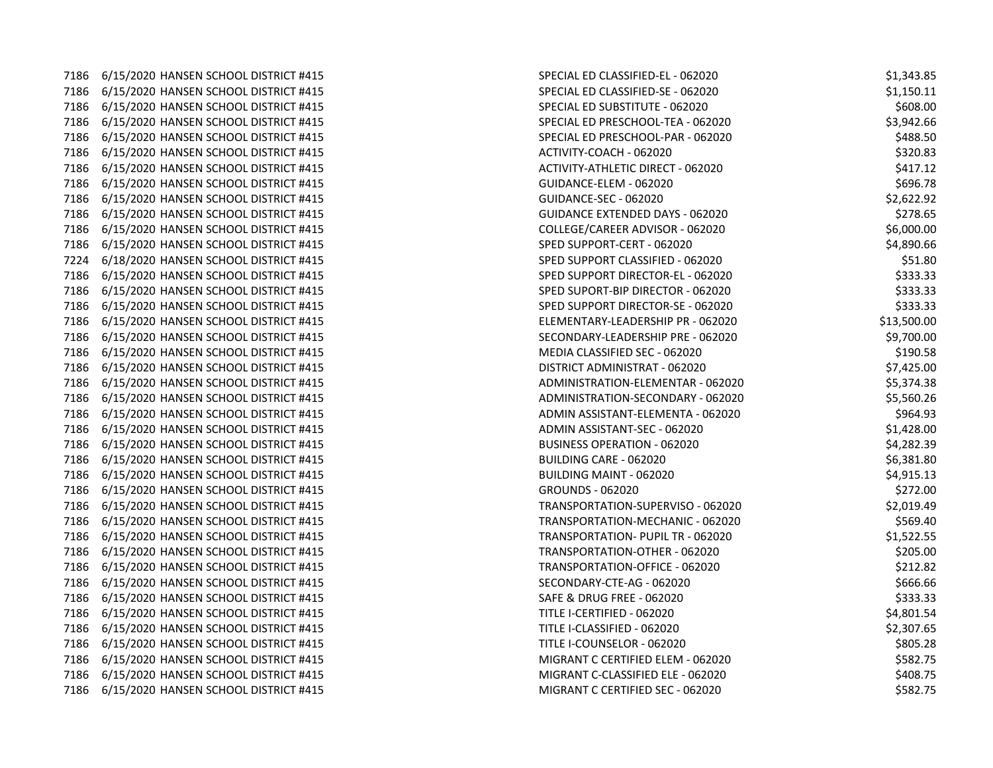|      | 7186 6/15/2020 HANSEN SCHOOL DISTRICT #415 | SPECIAL ED CLASSIFIED-EL - 062020  | \$1,343.85  |
|------|--------------------------------------------|------------------------------------|-------------|
|      | 7186 6/15/2020 HANSEN SCHOOL DISTRICT #415 | SPECIAL ED CLASSIFIED-SE - 062020  | \$1,150.11  |
|      | 7186 6/15/2020 HANSEN SCHOOL DISTRICT #415 | SPECIAL ED SUBSTITUTE - 062020     | \$608.00    |
|      | 7186 6/15/2020 HANSEN SCHOOL DISTRICT #415 | SPECIAL ED PRESCHOOL-TEA - 062020  | \$3,942.66  |
| 7186 | 6/15/2020 HANSEN SCHOOL DISTRICT #415      | SPECIAL ED PRESCHOOL-PAR - 062020  | \$488.50    |
| 7186 | 6/15/2020 HANSEN SCHOOL DISTRICT #415      | ACTIVITY-COACH - 062020            | \$320.83    |
|      | 7186 6/15/2020 HANSEN SCHOOL DISTRICT #415 | ACTIVITY-ATHLETIC DIRECT - 062020  | \$417.12    |
|      | 7186 6/15/2020 HANSEN SCHOOL DISTRICT #415 | GUIDANCE-ELEM - 062020             | \$696.78    |
| 7186 | 6/15/2020 HANSEN SCHOOL DISTRICT #415      | GUIDANCE-SEC - 062020              | \$2,622.92  |
| 7186 | 6/15/2020 HANSEN SCHOOL DISTRICT #415      | GUIDANCE EXTENDED DAYS - 062020    | \$278.65    |
| 7186 | 6/15/2020 HANSEN SCHOOL DISTRICT #415      | COLLEGE/CAREER ADVISOR - 062020    | \$6,000.00  |
|      | 7186 6/15/2020 HANSEN SCHOOL DISTRICT #415 | SPED SUPPORT-CERT - 062020         | \$4,890.66  |
|      | 7224 6/18/2020 HANSEN SCHOOL DISTRICT #415 | SPED SUPPORT CLASSIFIED - 062020   | \$51.80     |
|      | 7186 6/15/2020 HANSEN SCHOOL DISTRICT #415 | SPED SUPPORT DIRECTOR-EL - 062020  | \$333.33    |
| 7186 | 6/15/2020 HANSEN SCHOOL DISTRICT #415      | SPED SUPORT-BIP DIRECTOR - 062020  | \$333.33    |
| 7186 | 6/15/2020 HANSEN SCHOOL DISTRICT #415      | SPED SUPPORT DIRECTOR-SE - 062020  | \$333.33    |
| 7186 | 6/15/2020 HANSEN SCHOOL DISTRICT #415      | ELEMENTARY-LEADERSHIP PR - 062020  | \$13,500.00 |
|      | 7186 6/15/2020 HANSEN SCHOOL DISTRICT #415 | SECONDARY-LEADERSHIP PRE - 062020  | \$9,700.00  |
|      | 7186 6/15/2020 HANSEN SCHOOL DISTRICT #415 | MEDIA CLASSIFIED SEC - 062020      | \$190.58    |
| 7186 | 6/15/2020 HANSEN SCHOOL DISTRICT #415      | DISTRICT ADMINISTRAT - 062020      | \$7,425.00  |
|      | 7186 6/15/2020 HANSEN SCHOOL DISTRICT #415 | ADMINISTRATION-ELEMENTAR - 062020  | \$5,374.38  |
|      | 7186 6/15/2020 HANSEN SCHOOL DISTRICT #415 | ADMINISTRATION-SECONDARY - 062020  | \$5,560.26  |
|      | 7186 6/15/2020 HANSEN SCHOOL DISTRICT #415 | ADMIN ASSISTANT-ELEMENTA - 062020  | \$964.93    |
|      | 7186 6/15/2020 HANSEN SCHOOL DISTRICT #415 | ADMIN ASSISTANT-SEC - 062020       | \$1,428.00  |
| 7186 | 6/15/2020 HANSEN SCHOOL DISTRICT #415      | <b>BUSINESS OPERATION - 062020</b> | \$4,282.39  |
| 7186 | 6/15/2020 HANSEN SCHOOL DISTRICT #415      | BUILDING CARE - 062020             | \$6,381.80  |
| 7186 | 6/15/2020 HANSEN SCHOOL DISTRICT #415      | BUILDING MAINT - 062020            | \$4,915.13  |
|      | 7186 6/15/2020 HANSEN SCHOOL DISTRICT #415 | <b>GROUNDS - 062020</b>            | \$272.00    |
|      | 7186 6/15/2020 HANSEN SCHOOL DISTRICT #415 | TRANSPORTATION-SUPERVISO - 062020  | \$2,019.49  |
| 7186 | 6/15/2020 HANSEN SCHOOL DISTRICT #415      | TRANSPORTATION-MECHANIC - 062020   | \$569.40    |
| 7186 | 6/15/2020 HANSEN SCHOOL DISTRICT #415      | TRANSPORTATION- PUPIL TR - 062020  | \$1,522.55  |
| 7186 | 6/15/2020 HANSEN SCHOOL DISTRICT #415      | TRANSPORTATION-OTHER - 062020      | \$205.00    |
| 7186 | 6/15/2020 HANSEN SCHOOL DISTRICT #415      | TRANSPORTATION-OFFICE - 062020     | \$212.82    |
|      | 7186 6/15/2020 HANSEN SCHOOL DISTRICT #415 | SECONDARY-CTE-AG - 062020          | \$666.66    |
|      | 7186 6/15/2020 HANSEN SCHOOL DISTRICT #415 | SAFE & DRUG FREE - 062020          | \$333.33    |
| 7186 | 6/15/2020 HANSEN SCHOOL DISTRICT #415      | TITLE I-CERTIFIED - 062020         | \$4,801.54  |
| 7186 | 6/15/2020 HANSEN SCHOOL DISTRICT #415      | TITLE I-CLASSIFIED - 062020        | \$2,307.65  |
| 7186 | 6/15/2020 HANSEN SCHOOL DISTRICT #415      | TITLE I-COUNSELOR - 062020         | \$805.28    |
|      | 7186 6/15/2020 HANSEN SCHOOL DISTRICT #415 | MIGRANT C CERTIFIED ELEM - 062020  | \$582.75    |
|      | 7186 6/15/2020 HANSEN SCHOOL DISTRICT #415 | MIGRANT C-CLASSIFIED ELE - 062020  | \$408.75    |
|      | 7186 6/15/2020 HANSEN SCHOOL DISTRICT #415 | MIGRANT C CERTIFIED SEC - 062020   | \$582.75    |
|      |                                            |                                    |             |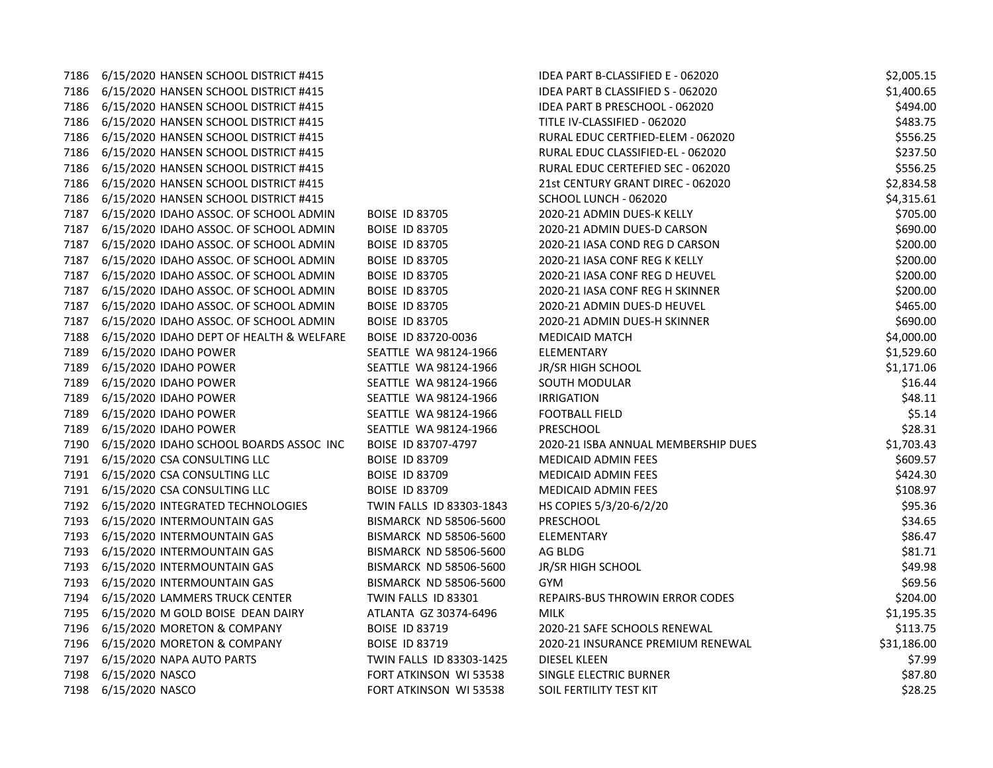|      | 7186 6/15/2020 HANSEN SCHOOL DISTRICT #415   |                               | IDEA PART B-CLASSIFIED E - 062020   | \$2,005.15  |
|------|----------------------------------------------|-------------------------------|-------------------------------------|-------------|
|      | 7186 6/15/2020 HANSEN SCHOOL DISTRICT #415   |                               | IDEA PART B CLASSIFIED S - 062020   | \$1,400.65  |
|      | 7186 6/15/2020 HANSEN SCHOOL DISTRICT #415   |                               | IDEA PART B PRESCHOOL - 062020      | \$494.00    |
| 7186 | 6/15/2020 HANSEN SCHOOL DISTRICT #415        |                               | TITLE IV-CLASSIFIED - 062020        | \$483.75    |
| 7186 | 6/15/2020 HANSEN SCHOOL DISTRICT #415        |                               | RURAL EDUC CERTFIED-ELEM - 062020   | \$556.25    |
| 7186 | 6/15/2020 HANSEN SCHOOL DISTRICT #415        |                               | RURAL EDUC CLASSIFIED-EL - 062020   | \$237.50    |
|      | 7186 6/15/2020 HANSEN SCHOOL DISTRICT #415   |                               | RURAL EDUC CERTEFIED SEC - 062020   | \$556.25    |
|      | 7186 6/15/2020 HANSEN SCHOOL DISTRICT #415   |                               | 21st CENTURY GRANT DIREC - 062020   | \$2,834.58  |
| 7186 | 6/15/2020 HANSEN SCHOOL DISTRICT #415        |                               | SCHOOL LUNCH - 062020               | \$4,315.61  |
| 7187 | 6/15/2020 IDAHO ASSOC. OF SCHOOL ADMIN       | <b>BOISE ID 83705</b>         | 2020-21 ADMIN DUES-K KELLY          | \$705.00    |
| 7187 | 6/15/2020 IDAHO ASSOC. OF SCHOOL ADMIN       | <b>BOISE ID 83705</b>         | 2020-21 ADMIN DUES-D CARSON         | \$690.00    |
| 7187 | 6/15/2020 IDAHO ASSOC. OF SCHOOL ADMIN       | <b>BOISE ID 83705</b>         | 2020-21 IASA COND REG D CARSON      | \$200.00    |
|      | 7187 6/15/2020 IDAHO ASSOC. OF SCHOOL ADMIN  | <b>BOISE ID 83705</b>         | 2020-21 IASA CONF REG K KELLY       | \$200.00    |
| 7187 | 6/15/2020 IDAHO ASSOC. OF SCHOOL ADMIN       | <b>BOISE ID 83705</b>         | 2020-21 IASA CONF REG D HEUVEL      | \$200.00    |
| 7187 | 6/15/2020 IDAHO ASSOC. OF SCHOOL ADMIN       | <b>BOISE ID 83705</b>         | 2020-21 IASA CONF REG H SKINNER     | \$200.00    |
| 7187 | 6/15/2020 IDAHO ASSOC. OF SCHOOL ADMIN       | <b>BOISE ID 83705</b>         | 2020-21 ADMIN DUES-D HEUVEL         | \$465.00    |
| 7187 | 6/15/2020 IDAHO ASSOC. OF SCHOOL ADMIN       | BOISE ID 83705                | 2020-21 ADMIN DUES-H SKINNER        | \$690.00    |
| 7188 | 6/15/2020 IDAHO DEPT OF HEALTH & WELFARE     | BOISE ID 83720-0036           | <b>MEDICAID MATCH</b>               | \$4,000.00  |
| 7189 | 6/15/2020 IDAHO POWER                        | SEATTLE WA 98124-1966         | ELEMENTARY                          | \$1,529.60  |
| 7189 | 6/15/2020 IDAHO POWER                        | SEATTLE WA 98124-1966         | JR/SR HIGH SCHOOL                   | \$1,171.06  |
| 7189 | 6/15/2020 IDAHO POWER                        | SEATTLE WA 98124-1966         | SOUTH MODULAR                       | \$16.44     |
| 7189 | 6/15/2020 IDAHO POWER                        | SEATTLE WA 98124-1966         | <b>IRRIGATION</b>                   | \$48.11     |
| 7189 | 6/15/2020 IDAHO POWER                        | SEATTLE WA 98124-1966         | <b>FOOTBALL FIELD</b>               | \$5.14      |
| 7189 | 6/15/2020 IDAHO POWER                        | SEATTLE WA 98124-1966         | PRESCHOOL                           | \$28.31     |
|      | 7190 6/15/2020 IDAHO SCHOOL BOARDS ASSOC INC | BOISE ID 83707-4797           | 2020-21 ISBA ANNUAL MEMBERSHIP DUES | \$1,703.43  |
|      | 7191 6/15/2020 CSA CONSULTING LLC            | <b>BOISE ID 83709</b>         | MEDICAID ADMIN FEES                 | \$609.57    |
|      | 7191 6/15/2020 CSA CONSULTING LLC            | <b>BOISE ID 83709</b>         | MEDICAID ADMIN FEES                 | \$424.30    |
|      | 7191 6/15/2020 CSA CONSULTING LLC            | <b>BOISE ID 83709</b>         | <b>MEDICAID ADMIN FEES</b>          | \$108.97    |
|      | 7192 6/15/2020 INTEGRATED TECHNOLOGIES       | TWIN FALLS ID 83303-1843      | HS COPIES 5/3/20-6/2/20             | \$95.36     |
|      | 7193 6/15/2020 INTERMOUNTAIN GAS             | BISMARCK ND 58506-5600        | PRESCHOOL                           | \$34.65     |
|      | 7193 6/15/2020 INTERMOUNTAIN GAS             | <b>BISMARCK ND 58506-5600</b> | ELEMENTARY                          | \$86.47     |
| 7193 | 6/15/2020 INTERMOUNTAIN GAS                  | BISMARCK ND 58506-5600        | AG BLDG                             | \$81.71     |
| 7193 | 6/15/2020 INTERMOUNTAIN GAS                  | BISMARCK ND 58506-5600        | JR/SR HIGH SCHOOL                   | \$49.98     |
| 7193 | 6/15/2020 INTERMOUNTAIN GAS                  | <b>BISMARCK ND 58506-5600</b> | <b>GYM</b>                          | \$69.56     |
|      | 7194 6/15/2020 LAMMERS TRUCK CENTER          | TWIN FALLS ID 83301           | REPAIRS-BUS THROWIN ERROR CODES     | \$204.00    |
|      | 7195 6/15/2020 M GOLD BOISE DEAN DAIRY       | ATLANTA GZ 30374-6496         | <b>MILK</b>                         | \$1,195.35  |
|      | 7196 6/15/2020 MORETON & COMPANY             | <b>BOISE ID 83719</b>         | 2020-21 SAFE SCHOOLS RENEWAL        | \$113.75    |
|      | 7196 6/15/2020 MORETON & COMPANY             | <b>BOISE ID 83719</b>         | 2020-21 INSURANCE PREMIUM RENEWAL   | \$31,186.00 |
| 7197 | 6/15/2020 NAPA AUTO PARTS                    | TWIN FALLS ID 83303-1425      | DIESEL KLEEN                        | \$7.99      |
| 7198 | 6/15/2020 NASCO                              | FORT ATKINSON WI 53538        | SINGLE ELECTRIC BURNER              | \$87.80     |
| 7198 | 6/15/2020 NASCO                              | FORT ATKINSON WI 53538        | SOIL FERTILITY TEST KIT             | \$28.25     |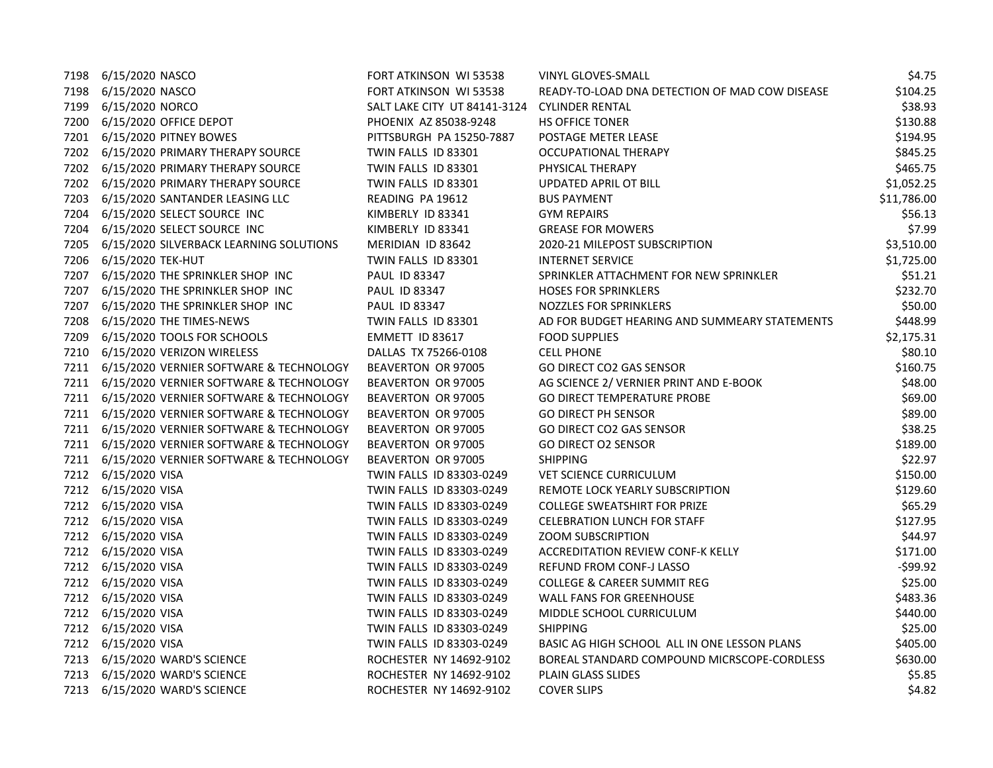|      | 7198 6/15/2020 NASCO                         | FORT ATKINSON WI 53538       | VINYL GLOVES-SMALL                             | \$4.75      |
|------|----------------------------------------------|------------------------------|------------------------------------------------|-------------|
|      | 7198 6/15/2020 NASCO                         | FORT ATKINSON WI 53538       | READY-TO-LOAD DNA DETECTION OF MAD COW DISEASE | \$104.25    |
|      | 7199 6/15/2020 NORCO                         | SALT LAKE CITY UT 84141-3124 | <b>CYLINDER RENTAL</b>                         | \$38.93     |
|      | 7200 6/15/2020 OFFICE DEPOT                  | PHOENIX AZ 85038-9248        | HS OFFICE TONER                                | \$130.88    |
|      | 7201 6/15/2020 PITNEY BOWES                  | PITTSBURGH PA 15250-7887     | POSTAGE METER LEASE                            | \$194.95    |
|      | 7202 6/15/2020 PRIMARY THERAPY SOURCE        | TWIN FALLS ID 83301          | OCCUPATIONAL THERAPY                           | \$845.25    |
|      | 7202 6/15/2020 PRIMARY THERAPY SOURCE        | TWIN FALLS ID 83301          | PHYSICAL THERAPY                               | \$465.75    |
|      | 7202 6/15/2020 PRIMARY THERAPY SOURCE        | TWIN FALLS ID 83301          | <b>UPDATED APRIL OT BILL</b>                   | \$1,052.25  |
| 7203 | 6/15/2020 SANTANDER LEASING LLC              | READING PA 19612             | <b>BUS PAYMENT</b>                             | \$11,786.00 |
|      | 7204 6/15/2020 SELECT SOURCE INC             | KIMBERLY ID 83341            | <b>GYM REPAIRS</b>                             | \$56.13     |
| 7204 | 6/15/2020 SELECT SOURCE INC                  | KIMBERLY ID 83341            | <b>GREASE FOR MOWERS</b>                       | \$7.99      |
|      | 7205 6/15/2020 SILVERBACK LEARNING SOLUTIONS | MERIDIAN ID 83642            | 2020-21 MILEPOST SUBSCRIPTION                  | \$3,510.00  |
|      | 7206 6/15/2020 TEK-HUT                       | TWIN FALLS ID 83301          | <b>INTERNET SERVICE</b>                        | \$1,725.00  |
|      | 7207 6/15/2020 THE SPRINKLER SHOP INC        | PAUL ID 83347                | SPRINKLER ATTACHMENT FOR NEW SPRINKLER         | \$51.21     |
|      | 7207 6/15/2020 THE SPRINKLER SHOP INC        | PAUL ID 83347                | <b>HOSES FOR SPRINKLERS</b>                    | \$232.70    |
|      | 7207 6/15/2020 THE SPRINKLER SHOP INC        | PAUL ID 83347                | NOZZLES FOR SPRINKLERS                         | \$50.00     |
| 7208 | 6/15/2020 THE TIMES-NEWS                     | TWIN FALLS ID 83301          | AD FOR BUDGET HEARING AND SUMMEARY STATEMENTS  | \$448.99    |
|      | 7209 6/15/2020 TOOLS FOR SCHOOLS             | EMMETT ID 83617              | <b>FOOD SUPPLIES</b>                           | \$2,175.31  |
|      | 7210 6/15/2020 VERIZON WIRELESS              | DALLAS TX 75266-0108         | <b>CELL PHONE</b>                              | \$80.10     |
|      | 7211 6/15/2020 VERNIER SOFTWARE & TECHNOLOGY | BEAVERTON OR 97005           | GO DIRECT CO2 GAS SENSOR                       | \$160.75    |
|      | 7211 6/15/2020 VERNIER SOFTWARE & TECHNOLOGY | BEAVERTON OR 97005           | AG SCIENCE 2/ VERNIER PRINT AND E-BOOK         | \$48.00     |
|      | 7211 6/15/2020 VERNIER SOFTWARE & TECHNOLOGY | BEAVERTON OR 97005           | <b>GO DIRECT TEMPERATURE PROBE</b>             | \$69.00     |
|      | 7211 6/15/2020 VERNIER SOFTWARE & TECHNOLOGY | BEAVERTON OR 97005           | <b>GO DIRECT PH SENSOR</b>                     | \$89.00     |
|      | 7211 6/15/2020 VERNIER SOFTWARE & TECHNOLOGY | BEAVERTON OR 97005           | <b>GO DIRECT CO2 GAS SENSOR</b>                | \$38.25     |
|      | 7211 6/15/2020 VERNIER SOFTWARE & TECHNOLOGY | BEAVERTON OR 97005           | <b>GO DIRECT O2 SENSOR</b>                     | \$189.00    |
|      | 7211 6/15/2020 VERNIER SOFTWARE & TECHNOLOGY | BEAVERTON OR 97005           | <b>SHIPPING</b>                                | \$22.97     |
|      | 7212 6/15/2020 VISA                          | TWIN FALLS ID 83303-0249     | <b>VET SCIENCE CURRICULUM</b>                  | \$150.00    |
|      | 7212 6/15/2020 VISA                          | TWIN FALLS ID 83303-0249     | REMOTE LOCK YEARLY SUBSCRIPTION                | \$129.60    |
|      | 7212 6/15/2020 VISA                          | TWIN FALLS ID 83303-0249     | <b>COLLEGE SWEATSHIRT FOR PRIZE</b>            | \$65.29     |
|      | 7212 6/15/2020 VISA                          | TWIN FALLS ID 83303-0249     | <b>CELEBRATION LUNCH FOR STAFF</b>             | \$127.95    |
|      | 7212 6/15/2020 VISA                          | TWIN FALLS ID 83303-0249     | <b>ZOOM SUBSCRIPTION</b>                       | \$44.97     |
|      | 7212 6/15/2020 VISA                          | TWIN FALLS ID 83303-0249     | <b>ACCREDITATION REVIEW CONF-K KELLY</b>       | \$171.00    |
|      | 7212 6/15/2020 VISA                          | TWIN FALLS ID 83303-0249     | <b>REFUND FROM CONF-J LASSO</b>                | $-599.92$   |
|      | 7212 6/15/2020 VISA                          | TWIN FALLS ID 83303-0249     | <b>COLLEGE &amp; CAREER SUMMIT REG</b>         | \$25.00     |
|      | 7212 6/15/2020 VISA                          | TWIN FALLS ID 83303-0249     | WALL FANS FOR GREENHOUSE                       | \$483.36    |
|      | 7212 6/15/2020 VISA                          | TWIN FALLS ID 83303-0249     | MIDDLE SCHOOL CURRICULUM                       | \$440.00    |
|      | 7212 6/15/2020 VISA                          | TWIN FALLS ID 83303-0249     | <b>SHIPPING</b>                                | \$25.00     |
|      | 7212 6/15/2020 VISA                          | TWIN FALLS ID 83303-0249     | BASIC AG HIGH SCHOOL ALL IN ONE LESSON PLANS   | \$405.00    |
|      | 7213 6/15/2020 WARD'S SCIENCE                | ROCHESTER NY 14692-9102      | BOREAL STANDARD COMPOUND MICRSCOPE-CORDLESS    | \$630.00    |
|      | 7213 6/15/2020 WARD'S SCIENCE                | ROCHESTER NY 14692-9102      | PLAIN GLASS SLIDES                             | \$5.85      |
|      | 7213 6/15/2020 WARD'S SCIENCE                | ROCHESTER NY 14692-9102      | <b>COVER SLIPS</b>                             | \$4.82      |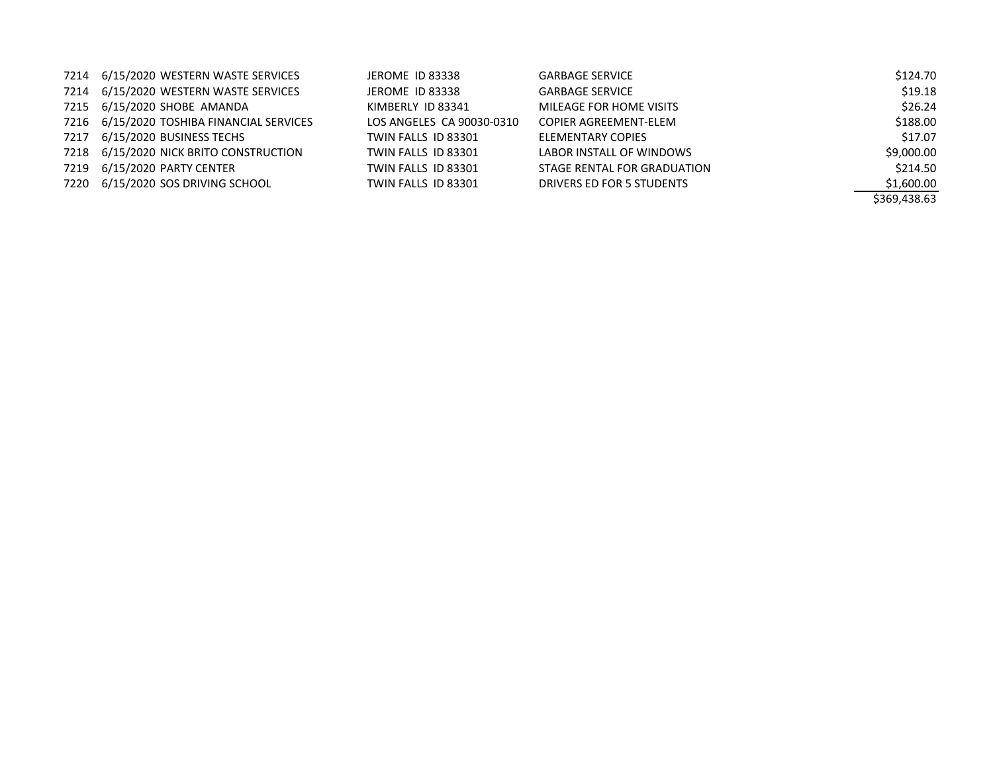| 7214 6/15/2020 WESTERN WASTE SERVICES     | JEROME ID 83338           | <b>GARBAGE SERVICE</b>      | \$124.70     |
|-------------------------------------------|---------------------------|-----------------------------|--------------|
| 7214 6/15/2020 WESTERN WASTE SERVICES     | JEROME ID 83338           | <b>GARBAGE SERVICE</b>      | \$19.18      |
| 7215 6/15/2020 SHOBE AMANDA               | KIMBERLY ID 83341         | MILEAGE FOR HOME VISITS     | \$26.24      |
| 7216 6/15/2020 TOSHIBA FINANCIAL SERVICES | LOS ANGELES CA 90030-0310 | COPIER AGREEMENT-ELEM       | \$188.00     |
| 7217 6/15/2020 BUSINESS TECHS             | TWIN FALLS ID 83301       | ELEMENTARY COPIES           | \$17.07      |
| 7218 6/15/2020 NICK BRITO CONSTRUCTION    | TWIN FALLS ID 83301       | LABOR INSTALL OF WINDOWS    | \$9,000.00   |
| 7219 6/15/2020 PARTY CENTER               | TWIN FALLS ID 83301       | STAGE RENTAL FOR GRADUATION | \$214.50     |
| 7220 6/15/2020 SOS DRIVING SCHOOL         | TWIN FALLS ID 83301       | DRIVERS ED FOR 5 STUDENTS   | \$1,600.00   |
|                                           |                           |                             | \$369.438.63 |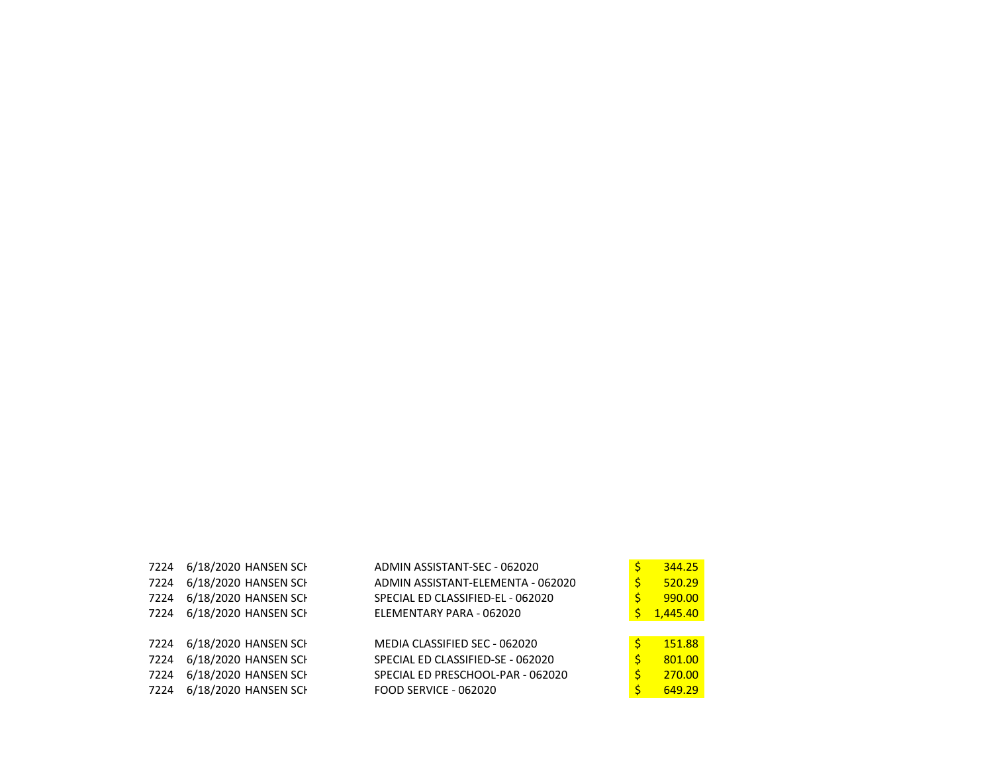|      | 7224 6/18/2020 HANSEN SCH | ADMIN ASSISTANT-SEC - 062020      |   | 344.25   |
|------|---------------------------|-----------------------------------|---|----------|
| 7224 | 6/18/2020 HANSEN SCH      | ADMIN ASSISTANT-ELEMENTA - 062020 | S | 520.29   |
| 7224 | 6/18/2020 HANSEN SCH      | SPECIAL ED CLASSIFIED-EL - 062020 |   | 990.00   |
| 7224 | 6/18/2020 HANSEN SCH      | ELEMENTARY PARA - 062020          | S | 1,445.40 |
|      |                           |                                   |   |          |
|      | 7224 6/18/2020 HANSEN SCH | MEDIA CLASSIFIED SEC - 062020     | Ś | 151.88   |
| 7224 | 6/18/2020 HANSEN SCH      | SPECIAL ED CLASSIFIED-SE - 062020 | S | 801.00   |
| 7224 | 6/18/2020 HANSEN SCH      | SPECIAL ED PRESCHOOL-PAR - 062020 | Ś | 270.00   |
| 7224 | 6/18/2020 HANSEN SCH      | <b>FOOD SERVICE - 062020</b>      | S | 649.29   |